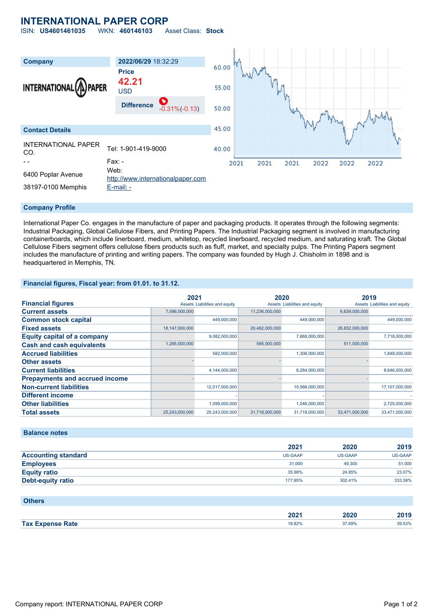# **INTERNATIONAL PAPER CORP**

ISIN: **US4601461035** WKN: **460146103** Asset Class: **Stock**



#### **Company Profile**

International Paper Co. engages in the manufacture of paper and packaging products. It operates through the following segments: Industrial Packaging, Global Cellulose Fibers, and Printing Papers. The Industrial Packaging segment is involved in manufacturing containerboards, which include linerboard, medium, whitetop, recycled linerboard, recycled medium, and saturating kraft. The Global Cellulose Fibers segment offers cellulose fibers products such as fluff, market, and specialty pulps. The Printing Papers segment includes the manufacture of printing and writing papers. The company was founded by Hugh J. Chisholm in 1898 and is headquartered in Memphis, TN.

#### **Financial figures, Fiscal year: from 01.01. to 31.12.**

|                                       | 2021           |                               | 2020           |                               | 2019           |                               |
|---------------------------------------|----------------|-------------------------------|----------------|-------------------------------|----------------|-------------------------------|
| <b>Financial figures</b>              |                | Assets Liabilities and equity |                | Assets Liabilities and equity |                | Assets Liabilities and equity |
| <b>Current assets</b>                 | 7,096,000,000  |                               | 11,236,000,000 |                               | 6.639.000.000  |                               |
| <b>Common stock capital</b>           |                | 449.000.000                   |                | 449,000,000                   |                | 449.000.000                   |
| <b>Fixed assets</b>                   | 18,147,000,000 |                               | 20,482,000,000 |                               | 26,832,000,000 |                               |
| <b>Equity capital of a company</b>    |                | 9,082,000,000                 |                | 7,868,000,000                 |                | 7,718,000,000                 |
| <b>Cash and cash equivalents</b>      | 1,295,000,000  |                               | 595,000,000    |                               | 511,000,000    |                               |
| <b>Accrued liabilities</b>            |                | 582,000,000                   |                | 1,306,000,000                 |                | 1,848,000,000                 |
| <b>Other assets</b>                   |                |                               |                |                               |                |                               |
| <b>Current liabilities</b>            |                | 4,144,000,000                 |                | 8,284,000,000                 |                | 8,646,000,000                 |
| <b>Prepayments and accrued income</b> |                |                               |                |                               |                |                               |
| <b>Non-current liabilities</b>        |                | 12,017,000,000                |                | 15,566,000,000                |                | 17,107,000,000                |
| <b>Different income</b>               |                |                               |                |                               |                |                               |
| <b>Other liabilities</b>              |                | 1,099,000,000                 |                | 1,046,000,000                 |                | 2,725,000,000                 |
| <b>Total assets</b>                   | 25,243,000,000 | 25,243,000,000                | 31,718,000,000 | 31,718,000,000                | 33,471,000,000 | 33,471,000,000                |

### **Balance notes**

|                            | 2021           | 2020           | 2019           |
|----------------------------|----------------|----------------|----------------|
| <b>Accounting standard</b> | <b>US-GAAP</b> | <b>US-GAAP</b> | <b>US-GAAP</b> |
| <b>Employees</b>           | 31,000         | 49,300         | 51,000         |
| <b>Equity ratio</b>        | 35.98%         | 24.85%         | 23.07%         |
| Debt-equity ratio          | 177.95%        | 302.41%        | 333.39%        |

#### **Others**

|                              | 2021   | המחה<br>9 SUZU | 2019   |
|------------------------------|--------|----------------|--------|
| <b>Tax E</b><br>Expense Rate | 18.82% | 37.69%         | 39.53% |